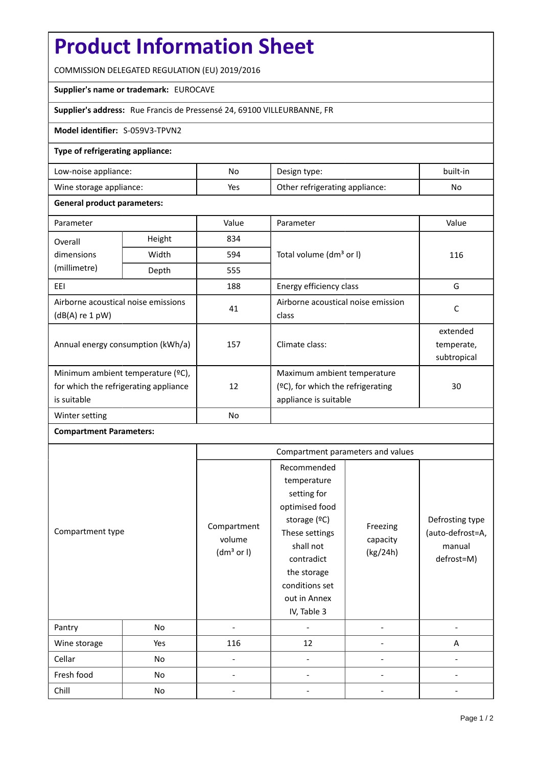# **Product Information Sheet**

COMMISSION DELEGATED REGULATION (EU) 2019/2016

### **Supplier's name or trademark:** EUROCAVE

## **Supplier's address:** Rue Francis de Pressensé 24, 69100 VILLEURBANNE, FR

#### **Model identifier:** S-059V3-TPVN2

### **Type of refrigerating appliance:**

| Low-noise appliance:    | No. | Design type:                   | built-in |
|-------------------------|-----|--------------------------------|----------|
| Wine storage appliance: | Yes | Other refrigerating appliance: | No       |

#### **General product parameters:**

| Parameter                                                                                 |        | Value     | Parameter                                                                                    | Value                                 |
|-------------------------------------------------------------------------------------------|--------|-----------|----------------------------------------------------------------------------------------------|---------------------------------------|
| Overall                                                                                   | Height | 834       |                                                                                              | 116                                   |
| dimensions<br>(millimetre)                                                                | Width  | 594       | Total volume (dm <sup>3</sup> or I)                                                          |                                       |
|                                                                                           | Depth  | 555       |                                                                                              |                                       |
| EEI                                                                                       |        | 188       | Energy efficiency class                                                                      | G                                     |
| Airborne acoustical noise emissions<br>$(dB(A)$ re 1 pW)                                  |        | 41        | Airborne acoustical noise emission<br>class                                                  | C                                     |
| Annual energy consumption (kWh/a)                                                         |        | 157       | Climate class:                                                                               | extended<br>temperate,<br>subtropical |
| Minimum ambient temperature (°C),<br>for which the refrigerating appliance<br>is suitable |        | 12        | Maximum ambient temperature<br>$(°C)$ , for which the refrigerating<br>appliance is suitable | 30                                    |
| Winter setting                                                                            |        | <b>No</b> |                                                                                              |                                       |

# **Compartment Parameters:**

| Compartment type |     | Compartment parameters and values               |                                                                                                                                                                                          |                                  |                                                             |
|------------------|-----|-------------------------------------------------|------------------------------------------------------------------------------------------------------------------------------------------------------------------------------------------|----------------------------------|-------------------------------------------------------------|
|                  |     | Compartment<br>volume<br>(dm <sup>3</sup> or I) | Recommended<br>temperature<br>setting for<br>optimised food<br>storage (°C)<br>These settings<br>shall not<br>contradict<br>the storage<br>conditions set<br>out in Annex<br>IV, Table 3 | Freezing<br>capacity<br>(kg/24h) | Defrosting type<br>(auto-defrost=A,<br>manual<br>defrost=M) |
| Pantry           | No  |                                                 |                                                                                                                                                                                          |                                  |                                                             |
| Wine storage     | Yes | 116                                             | 12                                                                                                                                                                                       |                                  | A                                                           |
| Cellar           | No  |                                                 |                                                                                                                                                                                          |                                  |                                                             |
| Fresh food       | No  |                                                 |                                                                                                                                                                                          |                                  |                                                             |
| Chill            | No  |                                                 |                                                                                                                                                                                          |                                  |                                                             |